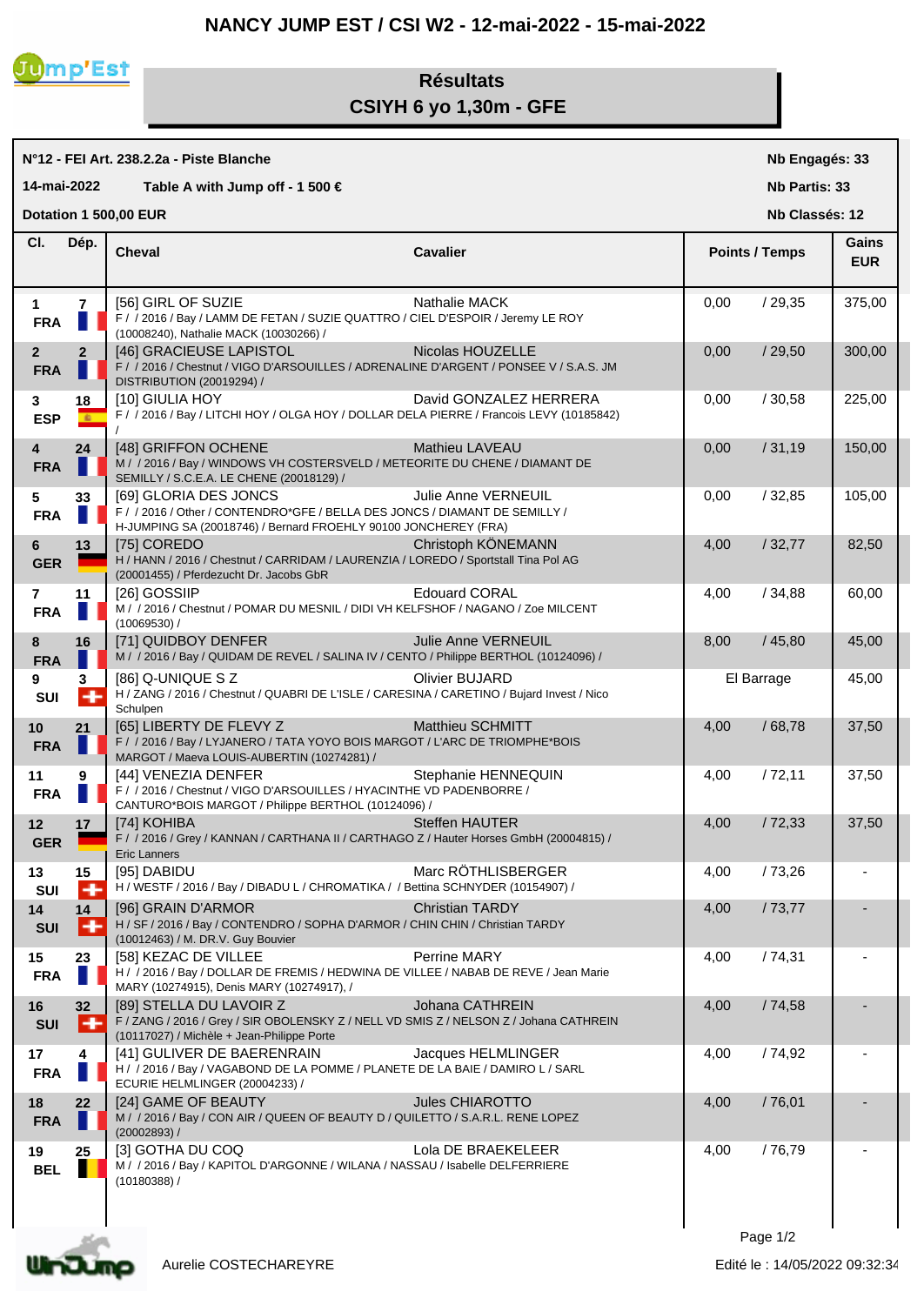## **NANCY JUMP EST / CSI W2 - 12-mai-2022 - 15-mai-2022**



## **Résultats CSIYH 6 yo 1,30m - GFE**

|                                                                            |                      | N°12 - FEI Art. 238.2.2a - Piste Blanche                                                                                                                                |                         | Nb Engagés: 33 |                       |                     |  |
|----------------------------------------------------------------------------|----------------------|-------------------------------------------------------------------------------------------------------------------------------------------------------------------------|-------------------------|----------------|-----------------------|---------------------|--|
| 14-mai-2022<br>Table A with Jump off - 1 500 $\in$<br><b>Nb Partis: 33</b> |                      |                                                                                                                                                                         |                         |                |                       |                     |  |
|                                                                            |                      | Dotation 1 500,00 EUR                                                                                                                                                   |                         |                | Nb Classés: 12        |                     |  |
| CI.                                                                        | Dép.                 | <b>Cheval</b>                                                                                                                                                           | <b>Cavalier</b>         |                | <b>Points / Temps</b> | Gains<br><b>EUR</b> |  |
| $\mathbf{1}$<br><b>FRA</b>                                                 | $\overline{7}$<br>H. | [56] GIRL OF SUZIE<br>F / / 2016 / Bay / LAMM DE FETAN / SUZIE QUATTRO / CIEL D'ESPOIR / Jeremy LE ROY<br>(10008240), Nathalie MACK (10030266) /                        | Nathalie MACK           | 0.00           | /29,35                | 375,00              |  |
| 2 <sup>2</sup><br><b>FRA</b>                                               | $\overline{2}$       | [46] GRACIEUSE LAPISTOL<br><b>CONTRACTOR</b><br>F / / 2016 / Chestnut / VIGO D'ARSOUILLES / ADRENALINE D'ARGENT / PONSEE V / S.A.S. JM<br>DISTRIBUTION (20019294) /     | Nicolas HOUZELLE        | 0,00           | /29,50                | 300,00              |  |
| 3<br><b>ESP</b>                                                            | 18<br>$\mathbf{a}$   | [10] GIULIA HOY<br>F / / 2016 / Bay / LITCHI HOY / OLGA HOY / DOLLAR DELA PIERRE / Francois LEVY (10185842)                                                             | David GONZALEZ HERRERA  | 0,00           | /30,58                | 225,00              |  |
| 4<br><b>FRA</b>                                                            | 24                   | [48] GRIFFON OCHENE<br>M / / 2016 / Bay / WINDOWS VH COSTERSVELD / METEORITE DU CHENE / DIAMANT DE<br>SEMILLY / S.C.E.A. LE CHENE (20018129) /                          | Mathieu LAVEAU          | 0,00           | /31,19                | 150,00              |  |
| 5<br><b>FRA</b>                                                            | 33                   | [69] GLORIA DES JONCS<br>F / / 2016 / Other / CONTENDRO*GFE / BELLA DES JONCS / DIAMANT DE SEMILLY /<br>H-JUMPING SA (20018746) / Bernard FROEHLY 90100 JONCHEREY (FRA) | Julie Anne VERNEUIL     | 0,00           | /32,85                | 105,00              |  |
| 6<br><b>GER</b>                                                            | 13                   | [75] COREDO<br>H / HANN / 2016 / Chestnut / CARRIDAM / LAURENZIA / LOREDO / Sportstall Tina Pol AG<br>(20001455) / Pferdezucht Dr. Jacobs GbR                           | Christoph KÖNEMANN      | 4,00           | /32,77                | 82,50               |  |
| $\overline{7}$<br><b>FRA</b>                                               | 11                   | [26] GOSSIIP<br>M / / 2016 / Chestnut / POMAR DU MESNIL / DIDI VH KELFSHOF / NAGANO / Zoe MILCENT<br>(10069530) /                                                       | <b>Edouard CORAL</b>    | 4,00           | /34,88                | 60,00               |  |
| 8<br><b>FRA</b>                                                            | 16                   | [71] QUIDBOY DENFER<br>M / / 2016 / Bay / QUIDAM DE REVEL / SALINA IV / CENTO / Philippe BERTHOL (10124096) /                                                           | Julie Anne VERNEUIL     | 8,00           | /45,80                | 45,00               |  |
| 9<br>SUI                                                                   | 3<br>$+$             | [86] Q-UNIQUE S Z<br>H / ZANG / 2016 / Chestnut / QUABRI DE L'ISLE / CARESINA / CARETINO / Bujard Invest / Nico<br>Schulpen                                             | <b>Olivier BUJARD</b>   |                | El Barrage            | 45,00               |  |
| 10<br><b>FRA</b>                                                           | 21                   | [65] LIBERTY DE FLEVY Z<br>F / / 2016 / Bay / LYJANERO / TATA YOYO BOIS MARGOT / L'ARC DE TRIOMPHE*BOIS<br>MARGOT / Maeva LOUIS-AUBERTIN (10274281) /                   | <b>Matthieu SCHMITT</b> | 4,00           | /68,78                | 37,50               |  |
| 11<br><b>FRA</b>                                                           | 9                    | [44] VENEZIA DENFER<br>F / / 2016 / Chestnut / VIGO D'ARSOUILLES / HYACINTHE VD PADENBORRE /<br>CANTURO*BOIS MARGOT / Philippe BERTHOL (10124096) /                     | Stephanie HENNEQUIN     | 4,00           | /72,11                | 37,50               |  |
| 12<br><b>GER</b>                                                           | 17                   | [74] KOHIBA<br>F / / 2016 / Grey / KANNAN / CARTHANA II / CARTHAGO Z / Hauter Horses GmbH (20004815) /<br>Eric Lanners                                                  | Steffen HAUTER          | 4,00           | /72,33                | 37,50               |  |
| 13<br>SUI                                                                  | 15<br>÷              | [95] DABIDU<br>H / WESTF / 2016 / Bay / DIBADU L / CHROMATIKA / / Bettina SCHNYDER (10154907) /                                                                         | Marc RÖTHLISBERGER      | 4,00           | / 73,26               |                     |  |
| 14<br><b>SUI</b>                                                           | 14<br>╺              | [96] GRAIN D'ARMOR<br>H / SF / 2016 / Bay / CONTENDRO / SOPHA D'ARMOR / CHIN CHIN / Christian TARDY<br>(10012463) / M. DR.V. Guy Bouvier                                | <b>Christian TARDY</b>  | 4,00           | /73,77                |                     |  |
| 15<br><b>FRA</b>                                                           | 23                   | [58] KEZAC DE VILLEE<br>H / / 2016 / Bay / DOLLAR DE FREMIS / HEDWINA DE VILLEE / NABAB DE REVE / Jean Marie<br>MARY (10274915), Denis MARY (10274917), /               | Perrine MARY            | 4,00           | /74,31                |                     |  |
| 16<br>SUI                                                                  | 32<br>+              | [89] STELLA DU LAVOIR Z<br>F / ZANG / 2016 / Grey / SIR OBOLENSKY Z / NELL VD SMIS Z / NELSON Z / Johana CATHREIN<br>(10117027) / Michèle + Jean-Philippe Porte         | Johana CATHREIN         | 4,00           | /74,58                |                     |  |
| 17<br><b>FRA</b>                                                           | 4                    | [41] GULIVER DE BAERENRAIN<br>H / / 2016 / Bay / VAGABOND DE LA POMME / PLANETE DE LA BAIE / DAMIRO L / SARL<br>ECURIE HELMLINGER (20004233) /                          | Jacques HELMLINGER      | 4,00           | / 74,92               |                     |  |
| 18<br><b>FRA</b>                                                           | 22                   | [24] GAME OF BEAUTY<br>M / / 2016 / Bay / CON AIR / QUEEN OF BEAUTY D / QUILETTO / S.A.R.L. RENE LOPEZ<br>(20002893) /                                                  | Jules CHIAROTTO         | 4,00           | /76,01                |                     |  |
| 19<br><b>BEL</b>                                                           | 25                   | [3] GOTHA DU COQ<br>M / / 2016 / Bay / KAPITOL D'ARGONNE / WILANA / NASSAU / Isabelle DELFERRIERE<br>(10180388) /                                                       | Lola DE BRAEKELEER      | 4,00           | /76,79                |                     |  |



Aurelie COSTECHAREYRE